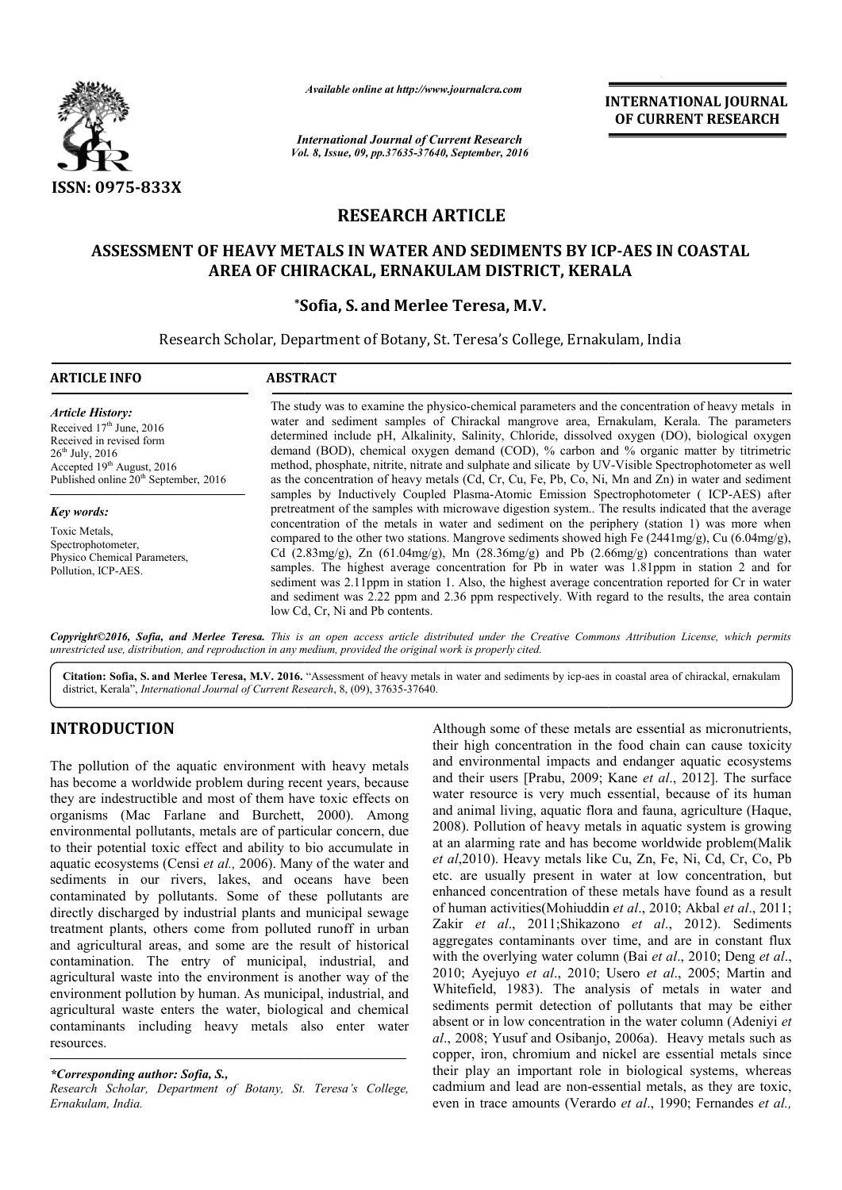

*Available online at http://www.journalcra.com*

INTERNATIONAL JOURNAL OF CURRENT RESEARCH

*International Journal of Current Research Vol. 8, Issue, 09, pp.37635-37640, September, 2016*

# RESEARCH ARTICLE

# ASSESSMENT OF HEAVY METALS IN WATER AND SEDIMENTS BY ICP ICP-AES IN COASTAL AREA OF CHIRACKAL, ERNAKULAM DISTRICT, KERALA

# \*Sofia Sofia, S. and Merlee Teresa, M.V.

Research Scholar, Department of Botany, St. Teresa's College, Ernakulam, India

| <b>ARTICLE INFO</b>                                                                                                                                                                            | <b>ABSTRACT</b>                                                                                                                                                                                                                                                                                                                                                                                                                                                                                                                                                                                                                                                                                                                                                                                                                                    |  |
|------------------------------------------------------------------------------------------------------------------------------------------------------------------------------------------------|----------------------------------------------------------------------------------------------------------------------------------------------------------------------------------------------------------------------------------------------------------------------------------------------------------------------------------------------------------------------------------------------------------------------------------------------------------------------------------------------------------------------------------------------------------------------------------------------------------------------------------------------------------------------------------------------------------------------------------------------------------------------------------------------------------------------------------------------------|--|
| <b>Article History:</b><br>Received $17th$ June, 2016<br>Received in revised form<br>$26^{th}$ July, 2016<br>Accepted $19th$ August, 2016<br>Published online 20 <sup>th</sup> September, 2016 | The study was to examine the physico-chemical parameters and the concentration of heavy metals in<br>water and sediment samples of Chirackal mangrove area, Ernakulam, Kerala. The parameters<br>determined include pH, Alkalinity, Salinity, Chloride, dissolved oxygen (DO), biological oxygen<br>demand (BOD), chemical oxygen demand (COD), % carbon and % organic matter by titrimetric<br>method, phosphate, nitrite, nitrate and sulphate and silicate by UV-Visible Spectrophotometer as well<br>as the concentration of heavy metals (Cd, Cr, Cu, Fe, Pb, Co, Ni, Mn and Zn) in water and sediment                                                                                                                                                                                                                                        |  |
| Key words:<br>Toxic Metals,<br>Spectrophotometer,<br>Physico Chemical Parameters.<br>Pollution, ICP-AES.                                                                                       | samples by Inductively Coupled Plasma-Atomic Emission Spectrophotometer (ICP-AES) after<br>pretreatment of the samples with microwave digestion system The results indicated that the average<br>concentration of the metals in water and sediment on the periphery (station 1) was more when<br>compared to the other two stations. Mangrove sediments showed high Fe $(2441mg/g)$ , Cu $(6.04mg/g)$ ,<br>Cd (2.83mg/g), Zn (61.04mg/g), Mn (28.36mg/g) and Pb (2.66mg/g) concentrations than water<br>samples. The highest average concentration for Pb in water was 1.81ppm in station 2 and for<br>sediment was 2.11ppm in station 1. Also, the highest average concentration reported for Cr in water<br>and sediment was 2.22 ppm and 2.36 ppm respectively. With regard to the results, the area contain<br>low Cd, Cr, Ni and Pb contents. |  |

 $C$ opyright©2016, Sofia, and Merlee Teresa. This is an open access article distributed under the Creative Commons Attribution License, which permits *unrestricted use, distribution, and reproduction in any medium, provided the original work is properly cited.*

Citation: Sofia, S. and Merlee Teresa, M.V. 2016. "Assessment of heavy metals in water and sediments by icp-aes in coastal area of chirackal, ernakulam district, Kerala", *International Journal of Current Research* , 8, (09), 37635-37640.

# INTRODUCTION

The pollution of the aquatic environment with heavy metals has become a worldwide problem during recent years, because they are indestructible and most of them have toxic effects on organisms (Mac Farlane and Burchett, 2000). Among environmental pollutants, metals are of particular concern, due to their potential toxic effect and ability to bio accumulate in aquatic ecosystems (Censi *et al.,* 2006). Many of the water and sediments in our rivers, lakes, and oceans have been contaminated by pollutants. Some of these pollutants are directly discharged by industrial plants and municipal sewage treatment plants, others come from polluted runoff in urban and agricultural areas, and some are the result of historical contamination. The entry of municipal, industrial, and agricultural waste into the environment is another way of the environment pollution by human. As municipal, industrial, and agricultural waste enters the water, biological and chemical contaminants including heavy metals also enter water resources.

### *\*Corresponding author: Sofia, S.,*

*Research Scholar, Department of Botany, St. Teresa's College, Ernakulam, India.*

Although some of these metals are essential as micronutrients, their high concentration in the food chain can cause toxicity and environmental impacts and endanger aquatic ecosystems and their users [Prabu, 2009; Kane *et al*., 2012]. The surface water resource is very much essential, because of its human and animal living, aquatic flora and fauna, agriculture (Haque, 2008). Pollution of heavy metals in aquatic system is growing at an alarming rate and has become worldwide problem(Malik *et al*,2010). Heavy metals like Cu, Zn, Fe, Ni, Cd, Cr, Co, Pb etc. are usually present in water at low concentration, but enhanced concentration of these metals have found as a result of human activities(Mohiuddin *et al*., 2010; Akbal *et al*., 2011; Zakir *et al*., 2011;Shikazono *et al*., 2012). Sediments aggregates contaminants over time, and are in constant flux with the overlying water column *(Bai et al., 2010; Deng et al.,* 2010; Ayejuyo *et al*., 2010; Usero 2010; *et al*., 2005; Martin and Whitefield, 1983). The analysis of metals in water and sediments permit detection of pollutants that may be either sediments permit detection of pollutants that may be either absent or in low concentration in the water column *(Adeniyi et al*., 2008; Yusuf and Osibanjo, 2006a). Heavy metals such as copper, iron, chromium and nickel are essential metals since their play an important role in biological systems, whereas cadmium and lead are non-essential metals, as they are toxic, even in trace amounts (Verardo et al., 1990; Fernandes et al., hese metals are essential as intion in the food chain can<br>impacts and endanger aqua is very much essential, because of its human animal living, aquatic flora and fauna, agriculture (Haque, 3). Pollution of heavy metals in aquatic system is growing a larming rate and has become worldwide problem(Malik, 201 2008; Yusuf and Osibanjo, 2006a). Heavy metals such as per, iron, chromium and nickel are essential metals since r play an important role in biological systems, whereas nium and lead are non-essential metals, as they are t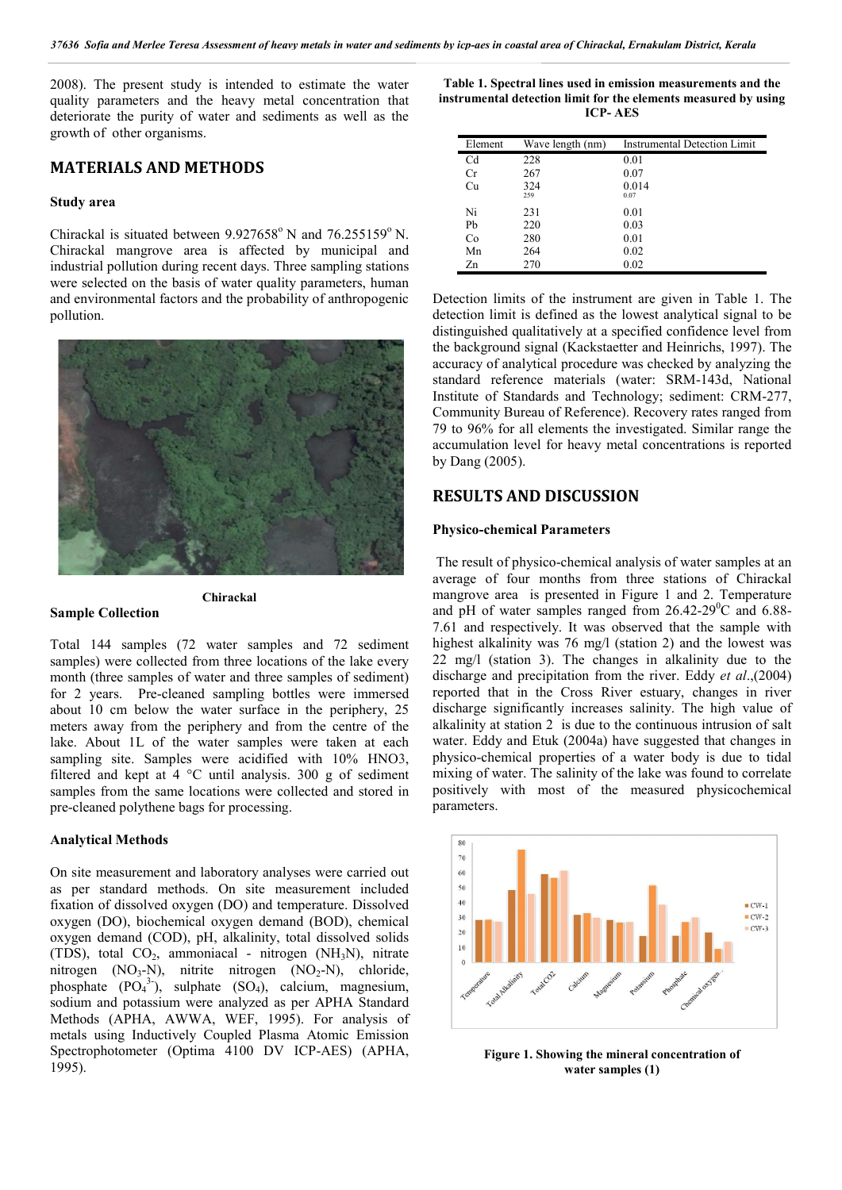2008). The present study is intended to estimate the water quality parameters and the heavy metal concentration that deteriorate the purity of water and sediments as well as the growth of other organisms.

## MATERIALS AND METHODS

### Study area

Chirackal is situated between  $9.927658^{\circ}$  N and  $76.255159^{\circ}$  N. Chirackal mangrove area is affected by municipal and industrial pollution during recent days. Three sampling stations were selected on the basis of water quality parameters, human and environmental factors and the probability of anthropogenic pollution.



#### Sample Collection

Total 144 samples (72 water samples and 72 sediment samples) were collected from three locations of the lake every month (three samples of water and three samples of sediment) for 2 years. Pre-cleaned sampling bottles were immersed about 10 cm below the water surface in the periphery, 25 meters away from the periphery and from the centre of the lake. About 1L of the water samples were taken at each sampling site. Samples were acidified with  $10\%$  HNO3, filtered and kept at 4 °C until analysis. 300 g of sediment samples from the same locations were collected and stored in pre-cleaned polythene bags for processing.

Chirackal

### Analytical Methods

On site measurement and laboratory analyses were carried out as per standard methods. On site measurement included fixation of dissolved oxygen (DO) and temperature. Dissolved oxygen (DO), biochemical oxygen demand (BOD), chemical oxygen demand (COD), pH, alkalinity, total dissolved solids (TDS), total  $CO<sub>2</sub>$ , ammoniacal - nitrogen (NH<sub>3</sub>N), nitrate nitrogen  $(NO_3-N)$ , nitrite nitrogen  $(NO_2-N)$ , chloride, phosphate  $(PO<sub>4</sub><sup>3</sup>$ ), sulphate  $(SO<sub>4</sub>)$ , calcium, magnesium, sodium and potassium were analyzed as per APHA Standard Methods (APHA, AWWA, WEF, 1995). For analysis of metals using Inductively Coupled Plasma Atomic Emission Spectrophotometer (Optima 4100 DV ICP-AES) (APHA, 1995).

Table 1. Spectral lines used in emission measurements and the instrumental detection limit for the elements measured by using ICP- AES

| Element | Wave length (nm) | <b>Instrumental Detection Limit</b> |
|---------|------------------|-------------------------------------|
| Cd      | 228              | 0.01                                |
| Cr      | 267              | 0.07                                |
| Cu      | 324              | 0.014                               |
|         | 259              | 0.07                                |
| Ni      | 231              | 0.01                                |
| Pb      | 220              | 0.03                                |
| Co      | 280              | 0.01                                |
| Mn      | 264              | 0.02                                |
| Zn      | 270              | 0.02                                |

Detection limits of the instrument are given in Table 1. The detection limit is defined as the lowest analytical signal to be distinguished qualitatively at a specified confidence level from the background signal (Kackstaetter and Heinrichs, 1997). The accuracy of analytical procedure was checked by analyzing the standard reference materials (water: SRM-143d, National Institute of Standards and Technology; sediment: CRM-277, Community Bureau of Reference). Recovery rates ranged from 79 to 96% for all elements the investigated. Similar range the accumulation level for heavy metal concentrations is reported by Dang (2005).

### RESULTS AND DISCUSSION

#### Physico-chemical Parameters

The result of physico-chemical analysis of water samples at an average of four months from three stations of Chirackal mangrove area is presented in Figure 1 and 2. Temperature and pH of water samples ranged from  $26.42-29^{\circ}$ C and  $6.88$ -7.61 and respectively. It was observed that the sample with highest alkalinity was 76 mg/l (station 2) and the lowest was 22 mg/l (station 3). The changes in alkalinity due to the discharge and precipitation from the river. Eddy *et al*.,(2004) reported that in the Cross River estuary, changes in river discharge significantly increases salinity. The high value of alkalinity at station 2 is due to the continuous intrusion of salt water. Eddy and Etuk (2004a) have suggested that changes in physico-chemical properties of a water body is due to tidal mixing of water. The salinity of the lake was found to correlate positively with most of the measured physicochemical parameters.



Figure 1. Showing the mineral concentration of water samples (1)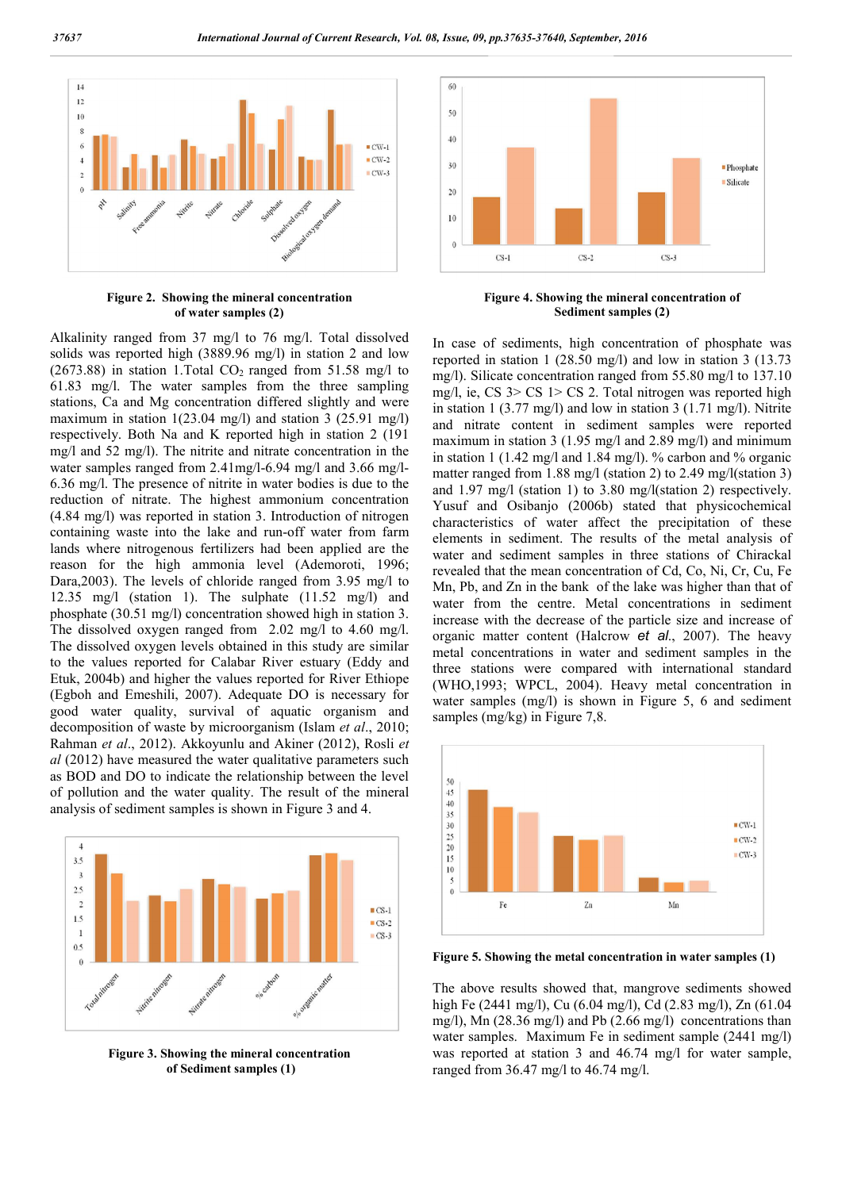

Figure 2. Showing the mineral concentration of water samples (2)



Figure 4. Showing the mineral concentration of Sediment samples (2)

Alkalinity ranged from 37 mg/l to 76 mg/l. Total dissolved solids was reported high (3889.96 mg/l) in station 2 and low (2673.88) in station 1. Total  $CO<sub>2</sub>$  ranged from 51.58 mg/l to 61.83 mg/l. The water samples from the three sampling stations, Ca and Mg concentration differed slightly and were maximum in station 1(23.04 mg/l) and station 3 (25.91 mg/l) respectively. Both Na and K reported high in station 2 (191 mg/l and 52 mg/l). The nitrite and nitrate concentration in the water samples ranged from 2.41mg/l-6.94 mg/l and 3.66 mg/l-6.36 mg/l. The presence of nitrite in water bodies is due to the reduction of nitrate. The highest ammonium concentration (4.84 mg/l) was reported in station 3. Introduction of nitrogen containing waste into the lake and run-off water from farm lands where nitrogenous fertilizers had been applied are the reason for the high ammonia level (Ademoroti, 1996; Dara,2003). The levels of chloride ranged from 3.95 mg/l to 12.35 mg/l (station 1). The sulphate (11.52 mg/l) and phosphate (30.51 mg/l) concentration showed high in station 3. The dissolved oxygen ranged from 2.02 mg/l to 4.60 mg/l. The dissolved oxygen levels obtained in this study are similar to the values reported for Calabar River estuary (Eddy and Etuk, 2004b) and higher the values reported for River Ethiope (Egboh and Emeshili, 2007). Adequate DO is necessary for good water quality, survival of aquatic organism and decomposition of waste by microorganism (Islam *et al*., 2010; Rahman *et al*., 2012). Akkoyunlu and Akiner (2012), Rosli *et al* (2012) have measured the water qualitative parameters such as BOD and DO to indicate the relationship between the level of pollution and the water quality. The result of the mineral analysis of sediment samples is shown in Figure 3 and 4.



Figure 3. Showing the mineral concentration of Sediment samples (1)

In case of sediments, high concentration of phosphate was reported in station 1 (28.50 mg/l) and low in station 3 (13.73 mg/l). Silicate concentration ranged from 55.80 mg/l to 137.10 mg/l, ie, CS  $3 >$  CS 1 $>$  CS 2. Total nitrogen was reported high in station 1 (3.77 mg/l) and low in station 3 (1.71 mg/l). Nitrite and nitrate content in sediment samples were reported maximum in station 3 (1.95 mg/l and 2.89 mg/l) and minimum in station 1 (1.42 mg/l and 1.84 mg/l). % carbon and % organic matter ranged from 1.88 mg/l (station 2) to 2.49 mg/l(station 3) and 1.97 mg/l (station 1) to 3.80 mg/l(station 2) respectively. Yusuf and Osibanjo (2006b) stated that physicochemical characteristics of water affect the precipitation of these elements in sediment. The results of the metal analysis of water and sediment samples in three stations of Chirackal revealed that the mean concentration of Cd, Co, Ni, Cr, Cu, Fe Mn, Pb, and Zn in the bank of the lake was higher than that of water from the centre. Metal concentrations in sediment increase with the decrease of the particle size and increase of organic matter content (Halcrow *et al*., 2007). The heavy metal concentrations in water and sediment samples in the three stations were compared with international standard (WHO,1993; WPCL, 2004). Heavy metal concentration in water samples (mg/l) is shown in Figure 5, 6 and sediment samples (mg/kg) in Figure 7,8.



Figure 5. Showing the metal concentration in water samples (1)

The above results showed that, mangrove sediments showed high Fe (2441 mg/l), Cu (6.04 mg/l), Cd (2.83 mg/l), Zn (61.04 mg/l), Mn (28.36 mg/l) and Pb (2.66 mg/l) concentrations than water samples. Maximum Fe in sediment sample (2441 mg/l) was reported at station 3 and 46.74 mg/l for water sample, ranged from 36.47 mg/l to 46.74 mg/l.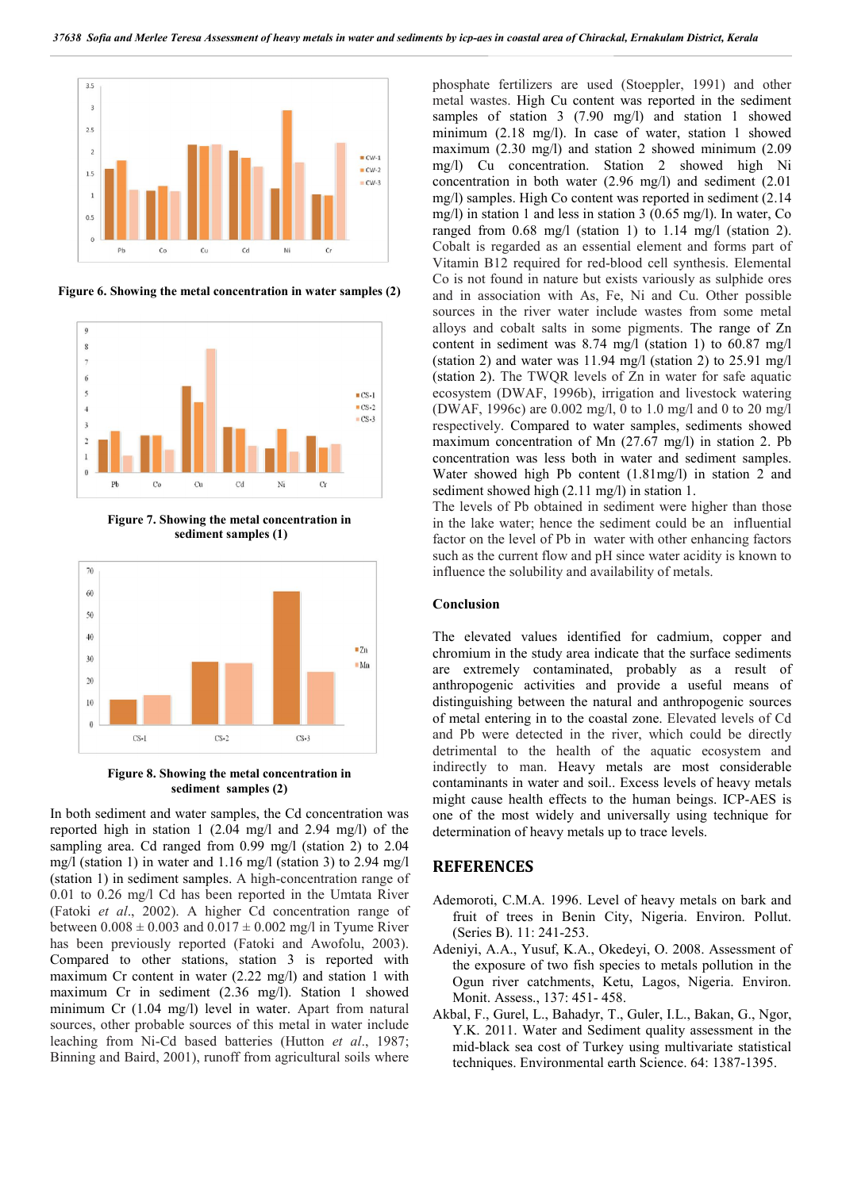

Figure 6. Showing the metal concentration in water samples (2)



Figure 7. Showing the metal concentration in sediment samples (1)



Figure 8. Showing the metal concentration in sediment samples (2)

In both sediment and water samples, the Cd concentration was reported high in station 1 (2.04 mg/l and 2.94 mg/l) of the sampling area. Cd ranged from 0.99 mg/l (station 2) to 2.04 mg/l (station 1) in water and 1.16 mg/l (station 3) to 2.94 mg/l (station 1) in sediment samples. A high-concentration range of 0.01 to 0.26 mg/l Cd has been reported in the Umtata River (Fatoki *et al*., 2002). A higher Cd concentration range of between  $0.008 \pm 0.003$  and  $0.017 \pm 0.002$  mg/l in Tyume River has been previously reported (Fatoki and Awofolu, 2003). Compared to other stations, station 3 is reported with maximum Cr content in water (2.22 mg/l) and station 1 with maximum Cr in sediment (2.36 mg/l). Station 1 showed minimum Cr (1.04 mg/l) level in water. Apart from natural sources, other probable sources of this metal in water include leaching from Ni-Cd based batteries (Hutton *et al*., 1987; Binning and Baird, 2001), runoff from agricultural soils where

phosphate fertilizers are used (Stoeppler, 1991) and other metal wastes. High Cu content was reported in the sediment samples of station 3 (7.90 mg/l) and station 1 showed minimum (2.18 mg/l). In case of water, station 1 showed maximum (2.30 mg/l) and station 2 showed minimum (2.09 mg/l) Cu concentration. Station 2 showed high Ni concentration in both water (2.96 mg/l) and sediment (2.01 mg/l) samples. High Co content was reported in sediment (2.14 mg/l) in station 1 and less in station 3 (0.65 mg/l). In water, Co ranged from 0.68 mg/l (station 1) to 1.14 mg/l (station 2). Cobalt is regarded as an essential element and forms part of Vitamin B12 required for red-blood cell synthesis. Elemental Co is not found in nature but exists variously as sulphide ores and in association with As, Fe, Ni and Cu. Other possible sources in the river water include wastes from some metal alloys and cobalt salts in some pigments. The range of Zn content in sediment was 8.74 mg/l (station 1) to 60.87 mg/l (station 2) and water was 11.94 mg/l (station 2) to 25.91 mg/l (station 2). The TWQR levels of Zn in water for safe aquatic ecosystem (DWAF, 1996b), irrigation and livestock watering (DWAF, 1996c) are 0.002 mg/l, 0 to 1.0 mg/l and 0 to 20 mg/l respectively. Compared to water samples, sediments showed maximum concentration of Mn (27.67 mg/l) in station 2. Pb concentration was less both in water and sediment samples. Water showed high Pb content (1.81mg/l) in station 2 and sediment showed high (2.11 mg/l) in station 1.

The levels of Pb obtained in sediment were higher than those in the lake water; hence the sediment could be an influential factor on the level of Pb in water with other enhancing factors such as the current flow and pH since water acidity is known to influence the solubility and availability of metals.

#### Conclusion

The elevated values identified for cadmium, copper and chromium in the study area indicate that the surface sediments are extremely contaminated, probably as a result of anthropogenic activities and provide a useful means of distinguishing between the natural and anthropogenic sources of metal entering in to the coastal zone. Elevated levels of Cd and Pb were detected in the river, which could be directly detrimental to the health of the aquatic ecosystem and indirectly to man. Heavy metals are most considerable contaminants in water and soil.. Excess levels of heavy metals might cause health effects to the human beings. ICP-AES is one of the most widely and universally using technique for determination of heavy metals up to trace levels.

### **REFERENCES**

- Ademoroti, C.M.A. 1996. Level of heavy metals on bark and fruit of trees in Benin City, Nigeria. Environ. Pollut. (Series B). 11: 241-253.
- Adeniyi, A.A., Yusuf, K.A., Okedeyi, O. 2008. Assessment of the exposure of two fish species to metals pollution in the Ogun river catchments, Ketu, Lagos, Nigeria. Environ. Monit. Assess., 137: 451- 458.
- Akbal, F., Gurel, L., Bahadyr, T., Guler, I.L., Bakan, G., Ngor, Y.K. 2011. Water and Sediment quality assessment in the mid-black sea cost of Turkey using multivariate statistical techniques. Environmental earth Science. 64: 1387-1395.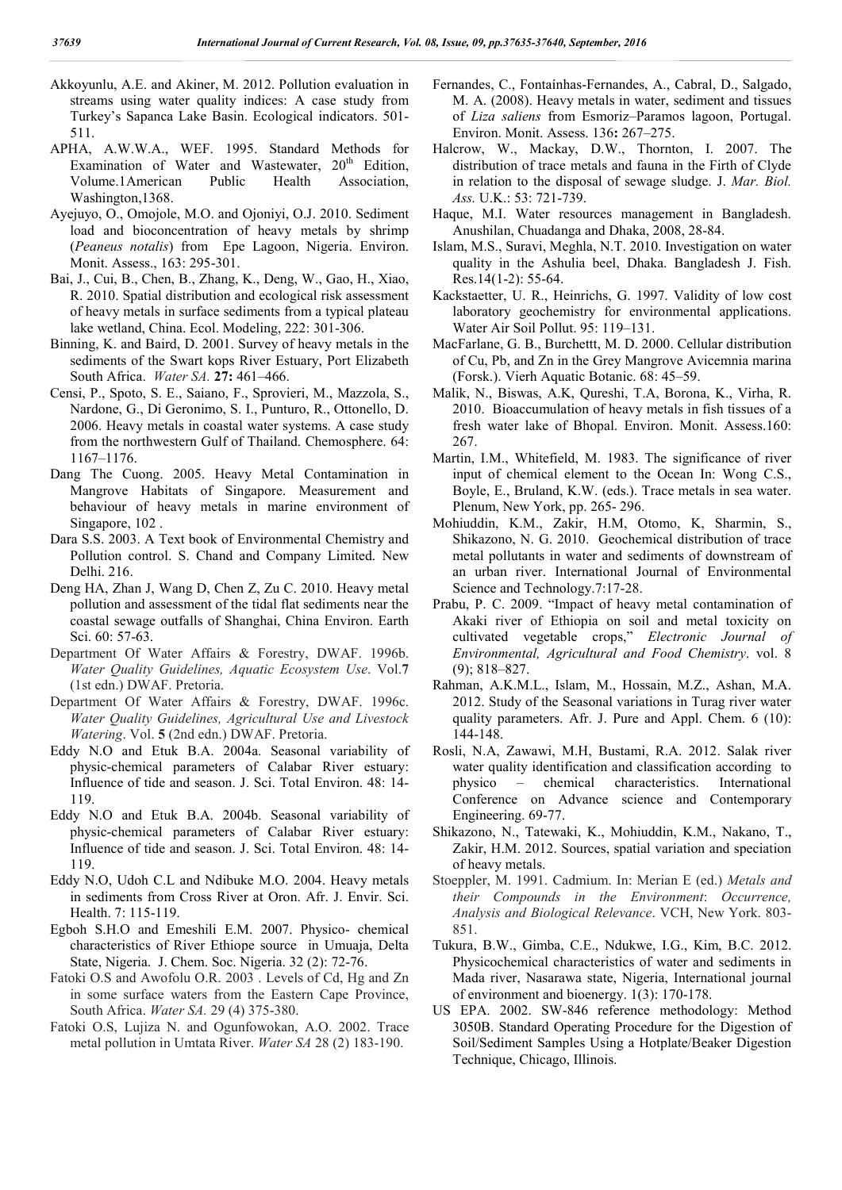- Akkoyunlu, A.E. and Akiner, M. 2012. Pollution evaluation in streams using water quality indices: A case study from Turkey's Sapanca Lake Basin. Ecological indicators. 501- 511.
- APHA, A.W.W.A., WEF. 1995. Standard Methods for Examination of Water and Wastewater, 20<sup>th</sup> Edition, Volume.1American Public Health Association, Washington,1368.
- Ayejuyo, O., Omojole, M.O. and Ojoniyi, O.J. 2010. Sediment load and bioconcentration of heavy metals by shrimp (*Peaneus notalis*) from Epe Lagoon, Nigeria. Environ. Monit. Assess., 163: 295-301.
- Bai, J., Cui, B., Chen, B., Zhang, K., Deng, W., Gao, H., Xiao, R. 2010. Spatial distribution and ecological risk assessment of heavy metals in surface sediments from a typical plateau lake wetland, China. Ecol. Modeling, 222: 301-306.
- Binning, K. and Baird, D. 2001. Survey of heavy metals in the sediments of the Swart kops River Estuary, Port Elizabeth South Africa. *Water SA.* 27: 461–466.
- Censi, P., Spoto, S. E., Saiano, F., Sprovieri, M., Mazzola, S., Nardone, G., Di Geronimo, S. I., Punturo, R., Ottonello, D. 2006. Heavy metals in coastal water systems. A case study from the northwestern Gulf of Thailand. Chemosphere. 64: 1167–1176.
- Dang The Cuong. 2005. Heavy Metal Contamination in Mangrove Habitats of Singapore. Measurement and behaviour of heavy metals in marine environment of Singapore, 102 .
- Dara S.S. 2003. A Text book of Environmental Chemistry and Pollution control. S. Chand and Company Limited. New Delhi. 216.
- Deng HA, Zhan J, Wang D, Chen Z, Zu C. 2010. Heavy metal pollution and assessment of the tidal flat sediments near the coastal sewage outfalls of Shanghai, China Environ. Earth Sci. 60: 57-63.
- Department Of Water Affairs & Forestry, DWAF. 1996b. *Water Quality Guidelines, Aquatic Ecosystem Use*. Vol.7 (1st edn.) DWAF. Pretoria.
- Department Of Water Affairs & Forestry, DWAF. 1996c. *Water Quality Guidelines, Agricultural Use and Livestock Watering*. Vol. 5 (2nd edn.) DWAF. Pretoria.
- Eddy N.O and Etuk B.A. 2004a. Seasonal variability of physic-chemical parameters of Calabar River estuary: Influence of tide and season. J. Sci. Total Environ. 48: 14- 119.
- Eddy N.O and Etuk B.A. 2004b. Seasonal variability of physic-chemical parameters of Calabar River estuary: Influence of tide and season. J. Sci. Total Environ. 48: 14- 119.
- Eddy N.O, Udoh C.L and Ndibuke M.O. 2004. Heavy metals in sediments from Cross River at Oron. Afr. J. Envir. Sci. Health. 7: 115-119.
- Egboh S.H.O and Emeshili E.M. 2007. Physico- chemical characteristics of River Ethiope source in Umuaja, Delta State, Nigeria. J. Chem. Soc. Nigeria. 32 (2): 72-76.
- Fatoki O.S and Awofolu O.R. 2003 . Levels of Cd, Hg and Zn in some surface waters from the Eastern Cape Province, South Africa. *Water SA.* 29 (4) 375-380.
- Fatoki O.S, Lujiza N. and Ogunfowokan, A.O. 2002. Trace metal pollution in Umtata River. *Water SA* 28 (2) 183-190.
- Fernandes, C., Fontaínhas-Fernandes, A., Cabral, D., Salgado, M. A. (2008). Heavy metals in water, sediment and tissues of *Liza saliens* from Esmoriz–Paramos lagoon, Portugal. Environ. Monit. Assess. 136: 267–275.
- Halcrow, W., Mackay, D.W., Thornton, I. 2007. The distribution of trace metals and fauna in the Firth of Clyde in relation to the disposal of sewage sludge. J. *Mar. Biol. Ass.* U.K.: 53: 721-739.
- Haque, M.I. Water resources management in Bangladesh. Anushilan, Chuadanga and Dhaka, 2008, 28-84.
- Islam, M.S., Suravi, Meghla, N.T. 2010. Investigation on water quality in the Ashulia beel, Dhaka. Bangladesh J. Fish. Res.14(1-2): 55-64.
- Kackstaetter, U. R., Heinrichs, G. 1997. Validity of low cost laboratory geochemistry for environmental applications. Water Air Soil Pollut. 95: 119–131.
- MacFarlane, G. B., Burchettt, M. D. 2000. Cellular distribution of Cu, Pb, and Zn in the Grey Mangrove Avicemnia marina (Forsk.). Vierh Aquatic Botanic. 68: 45–59.
- Malik, N., Biswas, A.K, Qureshi, T.A, Borona, K., Virha, R. 2010. Bioaccumulation of heavy metals in fish tissues of a fresh water lake of Bhopal. Environ. Monit. Assess.160: 267.
- Martin, I.M., Whitefield, M. 1983. The significance of river input of chemical element to the Ocean In: Wong C.S., Boyle, E., Bruland, K.W. (eds.). Trace metals in sea water. Plenum, New York, pp. 265- 296.
- Mohiuddin, K.M., Zakir, H.M, Otomo, K, Sharmin, S., Shikazono, N. G. 2010. Geochemical distribution of trace metal pollutants in water and sediments of downstream of an urban river. International Journal of Environmental Science and Technology.7:17-28.
- Prabu, P. C. 2009. "Impact of heavy metal contamination of Akaki river of Ethiopia on soil and metal toxicity on cultivated vegetable crops," *Electronic Journal of Environmental, Agricultural and Food Chemistry*. vol. 8 (9); 818–827.
- Rahman, A.K.M.L., Islam, M., Hossain, M.Z., Ashan, M.A. 2012. Study of the Seasonal variations in Turag river water quality parameters. Afr. J. Pure and Appl. Chem. 6 (10): 144-148.
- Rosli, N.A, Zawawi, M.H, Bustami, R.A. 2012. Salak river water quality identification and classification according to physico – chemical characteristics. International Conference on Advance science and Contemporary Engineering. 69-77.
- Shikazono, N., Tatewaki, K., Mohiuddin, K.M., Nakano, T., Zakir, H.M. 2012. Sources, spatial variation and speciation of heavy metals.
- Stoeppler, M. 1991. Cadmium. In: Merian E (ed.) *Metals and their Compounds in the Environment*: *Occurrence, Analysis and Biological Relevance*. VCH, New York. 803- 851.
- Tukura, B.W., Gimba, C.E., Ndukwe, I.G., Kim, B.C. 2012. Physicochemical characteristics of water and sediments in Mada river, Nasarawa state, Nigeria, International journal of environment and bioenergy. 1(3): 170-178.
- US EPA. 2002. SW-846 reference methodology: Method 3050B. Standard Operating Procedure for the Digestion of Soil/Sediment Samples Using a Hotplate/Beaker Digestion Technique, Chicago, Illinois.